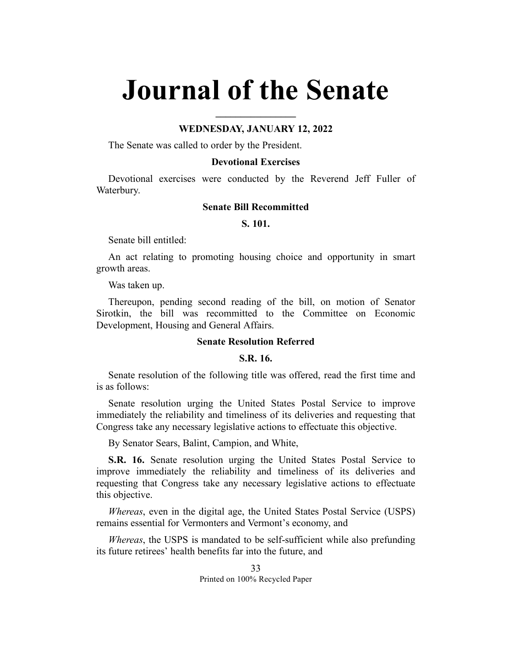# **Journal of the Senate**

**\_\_\_\_\_\_\_\_\_\_\_\_\_\_\_\_**

## **WEDNESDAY, JANUARY 12, 2022**

The Senate was called to order by the President.

## **Devotional Exercises**

Devotional exercises were conducted by the Reverend Jeff Fuller of Waterbury.

### **Senate Bill Recommitted**

#### **S. 101.**

Senate bill entitled:

An act relating to promoting housing choice and opportunity in smart growth areas.

Was taken up.

Thereupon, pending second reading of the bill, on motion of Senator Sirotkin, the bill was recommitted to the Committee on Economic Development, Housing and General Affairs.

# **Senate Resolution Referred**

# **S.R. 16.**

Senate resolution of the following title was offered, read the first time and is as follows:

Senate resolution urging the United States Postal Service to improve immediately the reliability and timeliness of its deliveries and requesting that Congress take any necessary legislative actions to effectuate this objective.

By Senator Sears, Balint, Campion, and White,

**S.R. 16.** Senate resolution urging the United States Postal Service to improve immediately the reliability and timeliness of its deliveries and requesting that Congress take any necessary legislative actions to effectuate this objective.

*Whereas*, even in the digital age, the United States Postal Service (USPS) remains essential for Vermonters and Vermont's economy, and

*Whereas*, the USPS is mandated to be self-sufficient while also prefunding its future retirees' health benefits far into the future, and

> 33 Printed on 100% Recycled Paper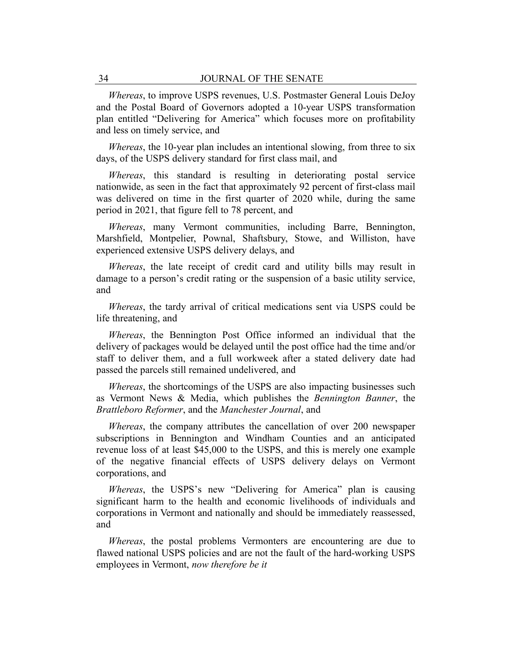*Whereas*, to improve USPS revenues, U.S. Postmaster General Louis DeJoy and the Postal Board of Governors adopted a 10-year USPS transformation plan entitled "Delivering for America" which focuses more on profitability and less on timely service, and

*Whereas*, the 10-year plan includes an intentional slowing, from three to six days, of the USPS delivery standard for first class mail, and

*Whereas*, this standard is resulting in deteriorating postal service nationwide, as seen in the fact that approximately 92 percent of first-class mail was delivered on time in the first quarter of 2020 while, during the same period in 2021, that figure fell to 78 percent, and

*Whereas*, many Vermont communities, including Barre, Bennington, Marshfield, Montpelier, Pownal, Shaftsbury, Stowe, and Williston, have experienced extensive USPS delivery delays, and

*Whereas*, the late receipt of credit card and utility bills may result in damage to a person's credit rating or the suspension of a basic utility service, and

*Whereas*, the tardy arrival of critical medications sent via USPS could be life threatening, and

*Whereas*, the Bennington Post Office informed an individual that the delivery of packages would be delayed until the post office had the time and/or staff to deliver them, and a full workweek after a stated delivery date had passed the parcels still remained undelivered, and

*Whereas*, the shortcomings of the USPS are also impacting businesses such as Vermont News & Media, which publishes the *Bennington Banner*, the *Brattleboro Reformer*, and the *Manchester Journal*, and

*Whereas*, the company attributes the cancellation of over 200 newspaper subscriptions in Bennington and Windham Counties and an anticipated revenue loss of at least \$45,000 to the USPS, and this is merely one example of the negative financial effects of USPS delivery delays on Vermont corporations, and

*Whereas*, the USPS's new "Delivering for America" plan is causing significant harm to the health and economic livelihoods of individuals and corporations in Vermont and nationally and should be immediately reassessed, and

*Whereas*, the postal problems Vermonters are encountering are due to flawed national USPS policies and are not the fault of the hard-working USPS employees in Vermont, *now therefore be it*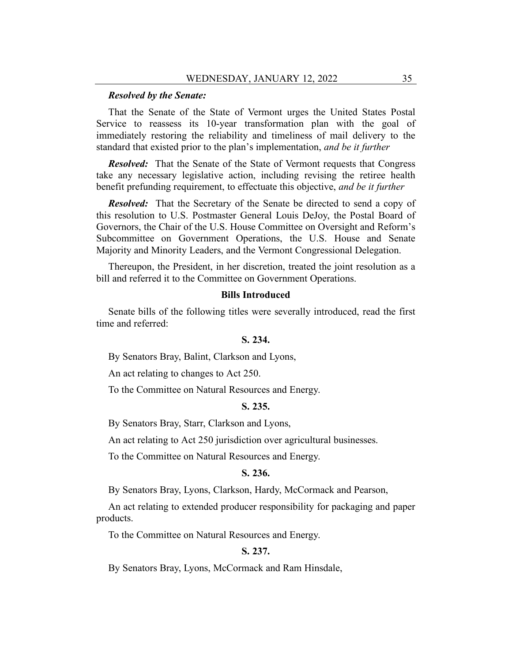#### *Resolved by the Senate:*

That the Senate of the State of Vermont urges the United States Postal Service to reassess its 10-year transformation plan with the goal of immediately restoring the reliability and timeliness of mail delivery to the standard that existed prior to the plan's implementation, *and be it further*

*Resolved:* That the Senate of the State of Vermont requests that Congress take any necessary legislative action, including revising the retiree health benefit prefunding requirement, to effectuate this objective, *and be it further*

*Resolved:* That the Secretary of the Senate be directed to send a copy of this resolution to U.S. Postmaster General Louis DeJoy, the Postal Board of Governors, the Chair of the U.S. House Committee on Oversight and Reform's Subcommittee on Government Operations, the U.S. House and Senate Majority and Minority Leaders, and the Vermont Congressional Delegation.

Thereupon, the President, in her discretion, treated the joint resolution as a bill and referred it to the Committee on Government Operations.

# **Bills Introduced**

Senate bills of the following titles were severally introduced, read the first time and referred:

# **S. 234.**

By Senators Bray, Balint, Clarkson and Lyons,

An act relating to changes to Act 250.

To the Committee on Natural Resources and Energy.

# **S. 235.**

By Senators Bray, Starr, Clarkson and Lyons,

An act relating to Act 250 jurisdiction over agricultural businesses.

To the Committee on Natural Resources and Energy.

#### **S. 236.**

By Senators Bray, Lyons, Clarkson, Hardy, McCormack and Pearson,

An act relating to extended producer responsibility for packaging and paper products.

To the Committee on Natural Resources and Energy.

# **S. 237.**

By Senators Bray, Lyons, McCormack and Ram Hinsdale,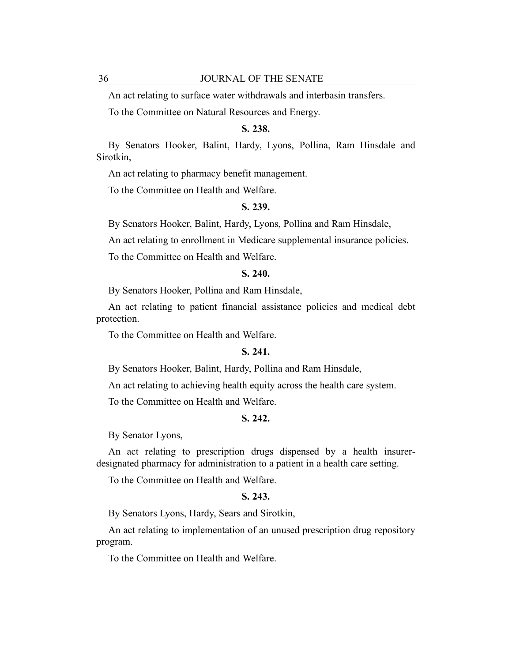An act relating to surface water withdrawals and interbasin transfers.

To the Committee on Natural Resources and Energy.

# **S. 238.**

By Senators Hooker, Balint, Hardy, Lyons, Pollina, Ram Hinsdale and Sirotkin,

An act relating to pharmacy benefit management.

To the Committee on Health and Welfare.

# **S. 239.**

By Senators Hooker, Balint, Hardy, Lyons, Pollina and Ram Hinsdale,

An act relating to enrollment in Medicare supplemental insurance policies.

To the Committee on Health and Welfare.

# **S. 240.**

By Senators Hooker, Pollina and Ram Hinsdale,

An act relating to patient financial assistance policies and medical debt protection.

To the Committee on Health and Welfare.

## **S. 241.**

By Senators Hooker, Balint, Hardy, Pollina and Ram Hinsdale,

An act relating to achieving health equity across the health care system.

To the Committee on Health and Welfare.

# **S. 242.**

By Senator Lyons,

An act relating to prescription drugs dispensed by a health insurerdesignated pharmacy for administration to a patient in a health care setting.

To the Committee on Health and Welfare.

# **S. 243.**

By Senators Lyons, Hardy, Sears and Sirotkin,

An act relating to implementation of an unused prescription drug repository program.

To the Committee on Health and Welfare.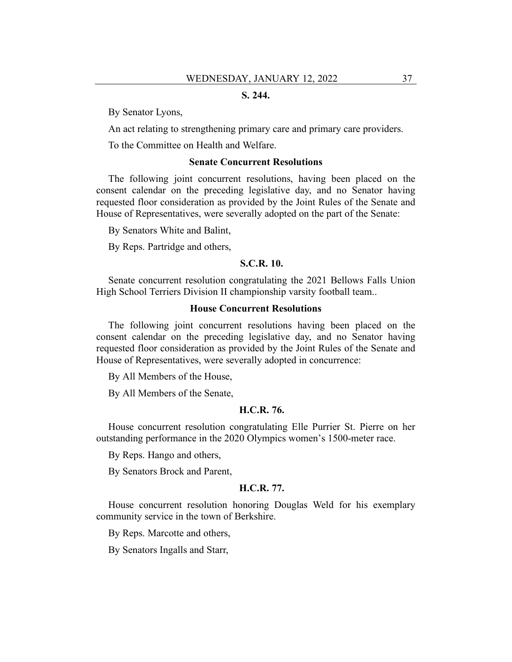# **S. 244.**

By Senator Lyons,

An act relating to strengthening primary care and primary care providers.

To the Committee on Health and Welfare.

## **Senate Concurrent Resolutions**

The following joint concurrent resolutions, having been placed on the consent calendar on the preceding legislative day, and no Senator having requested floor consideration as provided by the Joint Rules of the Senate and House of Representatives, were severally adopted on the part of the Senate:

By Senators White and Balint,

By Reps. Partridge and others,

# **S.C.R. 10.**

Senate concurrent resolution congratulating the 2021 Bellows Falls Union High School Terriers Division II championship varsity football team..

# **House Concurrent Resolutions**

The following joint concurrent resolutions having been placed on the consent calendar on the preceding legislative day, and no Senator having requested floor consideration as provided by the Joint Rules of the Senate and House of Representatives, were severally adopted in concurrence:

By All Members of the House,

By All Members of the Senate,

## **H.C.R. 76.**

House concurrent resolution congratulating Elle Purrier St. Pierre on her outstanding performance in the 2020 Olympics women's 1500-meter race.

By Reps. Hango and others,

By Senators Brock and Parent,

#### **H.C.R. 77.**

House concurrent resolution honoring Douglas Weld for his exemplary community service in the town of Berkshire.

By Reps. Marcotte and others,

By Senators Ingalls and Starr,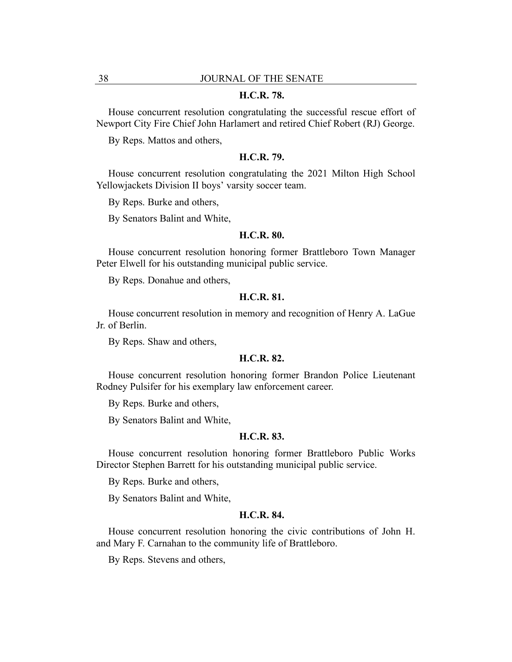#### **H.C.R. 78.**

House concurrent resolution congratulating the successful rescue effort of Newport City Fire Chief John Harlamert and retired Chief Robert (RJ) George.

By Reps. Mattos and others,

# **H.C.R. 79.**

House concurrent resolution congratulating the 2021 Milton High School Yellowjackets Division II boys' varsity soccer team.

By Reps. Burke and others,

By Senators Balint and White,

# **H.C.R. 80.**

House concurrent resolution honoring former Brattleboro Town Manager Peter Elwell for his outstanding municipal public service.

By Reps. Donahue and others,

# **H.C.R. 81.**

House concurrent resolution in memory and recognition of Henry A. LaGue Jr. of Berlin.

By Reps. Shaw and others,

## **H.C.R. 82.**

House concurrent resolution honoring former Brandon Police Lieutenant Rodney Pulsifer for his exemplary law enforcement career.

By Reps. Burke and others,

By Senators Balint and White,

# **H.C.R. 83.**

House concurrent resolution honoring former Brattleboro Public Works Director Stephen Barrett for his outstanding municipal public service.

By Reps. Burke and others,

By Senators Balint and White,

## **H.C.R. 84.**

House concurrent resolution honoring the civic contributions of John H. and Mary F. Carnahan to the community life of Brattleboro.

By Reps. Stevens and others,